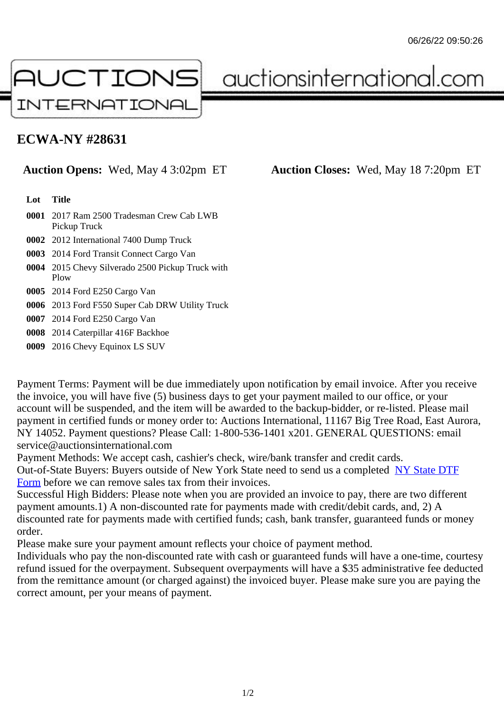## ECWA-NY #28631

## Auction Opens: Wed, May 4 3:02pm ET Auction Closes: Wed, May 18 7:20pm ET

Lot Title

- 0001 2017 Ram 2500 Tradesman Crew Cab LWB Pickup Truck
- 0002 2012 International 7400 Dump Truck
- 0003 2014 Ford Transit Connect Cargo Van
- 0004 2015 Chevy Silverado 2500 Pickup Truck with Plow
- 0005 2014 Ford E250 Cargo Van
- 0006 2013 Ford F550 Super Cab DRW Utility Truck

0007 2014 Ford E250 Cargo Van

- 0008 2014 Caterpillar 416F Backhoe
- 0009 2016 Chevy Equinox LS SUV

Payment Terms: Payment will be due immediately upon notification by email invoice. After you receive the invoice, you will have five (5) business days to get your payment mailed to our office, or your account will be suspended, and the item will be awarded to the backup-bidder, or re-listed. Please mail payment in certified funds or money order to: Auctions International, 11167 Big Tree Road, East Aurora NY 14052. Payment questions? Please Call: 1-800-536-1401 x201. GENERAL QUESTIONS: email service@auctionsinternational.com

Payment Methods: We accept cash, cashier's check, wire/bank transfer and credit cards. Out-of-State Buyers: Buyers outside of New York State need to send us a com blestate DTF Form before we can remove sales tax from their invoices.

Successful High Bidders: Please note when you are provided an invoice to pay, there are two different payment amounts.1) A non-discounted rate for payments made with credit/de[bit cards, and](https://www.auctionsinternational.com/auxiliary/downloads/DTF_Form/dtf_fill_in.pdf), 2) A [disco](https://www.auctionsinternational.com/auxiliary/downloads/DTF_Form/dtf_fill_in.pdf)unted rate for payments made with certified funds; cash, bank transfer, guaranteed funds or money order.

Please make sure your payment amount reflects your choice of payment method.

Individuals who pay the non-discounted rate with cash or guaranteed funds will have a one-time, courte refund issued for the overpayment. Subsequent overpayments will have a \$35 administrative fee deduc from the remittance amount (or charged against) the invoiced buyer. Please make sure you are paying correct amount, per your means of payment.